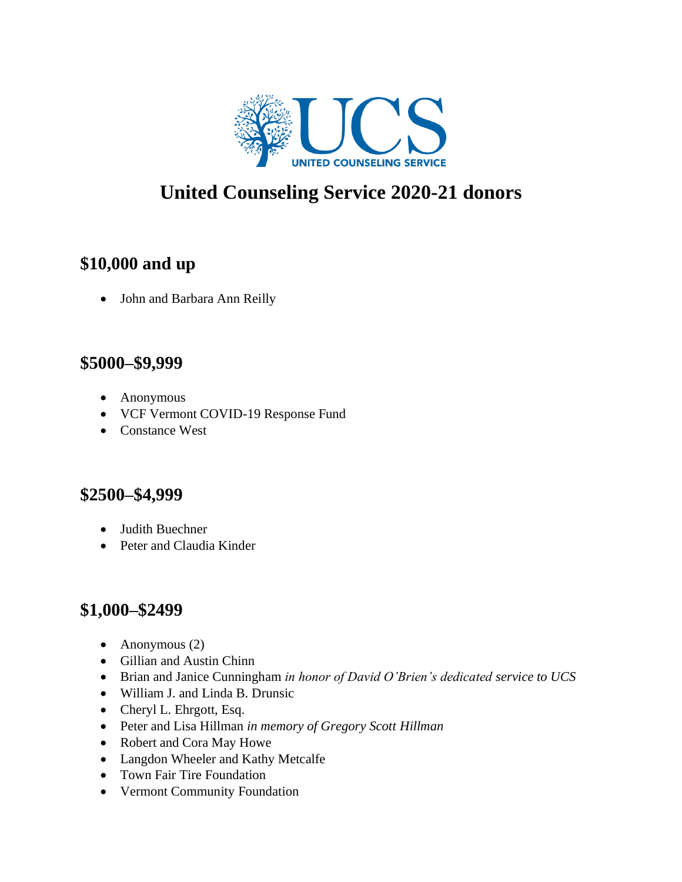

# **United Counseling Service 2020-21 donors**

## **\$10,000 and up**

• John and Barbara Ann Reilly

#### **\$5000–\$9,999**

- Anonymous
- VCF Vermont COVID-19 Response Fund
- Constance West

#### **\$2500–\$4,999**

- Judith Buechner
- Peter and Claudia Kinder

#### **\$1,000–\$2499**

- Anonymous (2)
- Gillian and Austin Chinn
- Brian and Janice Cunningham *in honor of David O'Brien's dedicated service to UCS*
- William J. and Linda B. Drunsic
- Cheryl L. Ehrgott, Esq.
- Peter and Lisa Hillman *in memory of Gregory Scott Hillman*
- Robert and Cora May Howe
- Langdon Wheeler and Kathy Metcalfe
- Town Fair Tire Foundation
- Vermont Community Foundation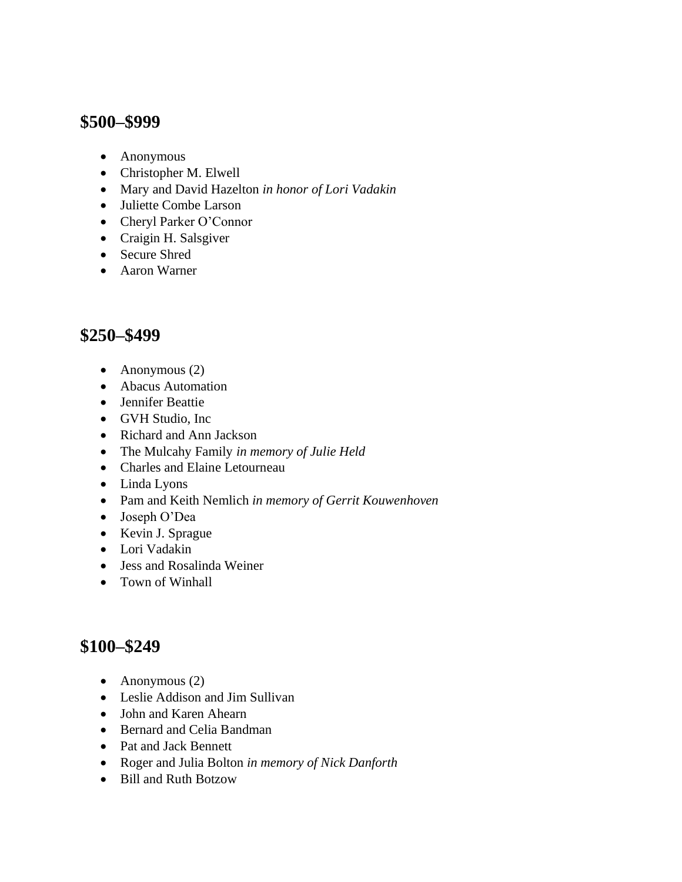#### **\$500–\$999**

- Anonymous
- Christopher M. Elwell
- Mary and David Hazelton *in honor of Lori Vadakin*
- Juliette Combe Larson
- Cheryl Parker O'Connor
- Craigin H. Salsgiver
- Secure Shred
- Aaron Warner

### **\$250–\$499**

- Anonymous (2)
- Abacus Automation
- Jennifer Beattie
- GVH Studio, Inc
- Richard and Ann Jackson
- The Mulcahy Family *in memory of Julie Held*
- Charles and Elaine Letourneau
- Linda Lyons
- Pam and Keith Nemlich *in memory of Gerrit Kouwenhoven*
- Joseph O'Dea
- Kevin J. Sprague
- Lori Vadakin
- Jess and Rosalinda Weiner
- Town of Winhall

#### **\$100–\$249**

- Anonymous (2)
- Leslie Addison and Jim Sullivan
- John and Karen Ahearn
- Bernard and Celia Bandman
- Pat and Jack Bennett
- Roger and Julia Bolton *in memory of Nick Danforth*
- Bill and Ruth Botzow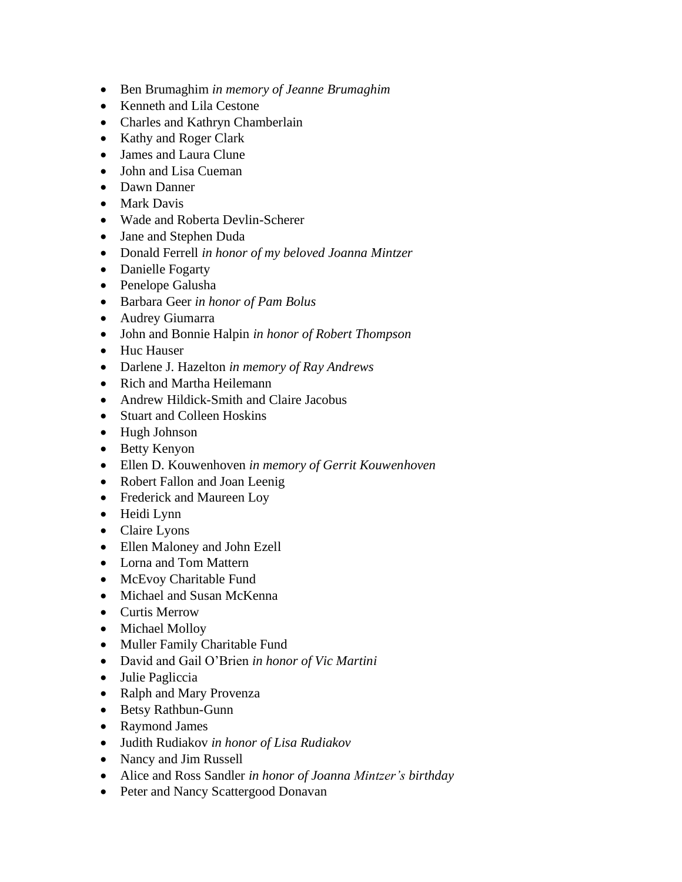- Ben Brumaghim *in memory of Jeanne Brumaghim*
- Kenneth and Lila Cestone
- Charles and Kathryn Chamberlain
- Kathy and Roger Clark
- James and Laura Clune
- John and Lisa Cueman
- Dawn Danner
- Mark Davis
- Wade and Roberta Devlin-Scherer
- Jane and Stephen Duda
- Donald Ferrell *in honor of my beloved Joanna Mintzer*
- Danielle Fogarty
- Penelope Galusha
- Barbara Geer *in honor of Pam Bolus*
- Audrey Giumarra
- John and Bonnie Halpin *in honor of Robert Thompson*
- Huc Hauser
- Darlene J. Hazelton *in memory of Ray Andrews*
- Rich and Martha Heilemann
- Andrew Hildick-Smith and Claire Jacobus
- Stuart and Colleen Hoskins
- Hugh Johnson
- Betty Kenyon
- Ellen D. Kouwenhoven *in memory of Gerrit Kouwenhoven*
- Robert Fallon and Joan Leenig
- Frederick and Maureen Loy
- Heidi Lynn
- Claire Lyons
- Ellen Maloney and John Ezell
- Lorna and Tom Mattern
- McEvoy Charitable Fund
- Michael and Susan McKenna
- Curtis Merrow
- Michael Molloy
- Muller Family Charitable Fund
- David and Gail O'Brien *in honor of Vic Martini*
- Julie Pagliccia
- Ralph and Mary Provenza
- Betsy Rathbun-Gunn
- Raymond James
- Judith Rudiakov *in honor of Lisa Rudiakov*
- Nancy and Jim Russell
- Alice and Ross Sandler *in honor of Joanna Mintzer's birthday*
- Peter and Nancy Scattergood Donavan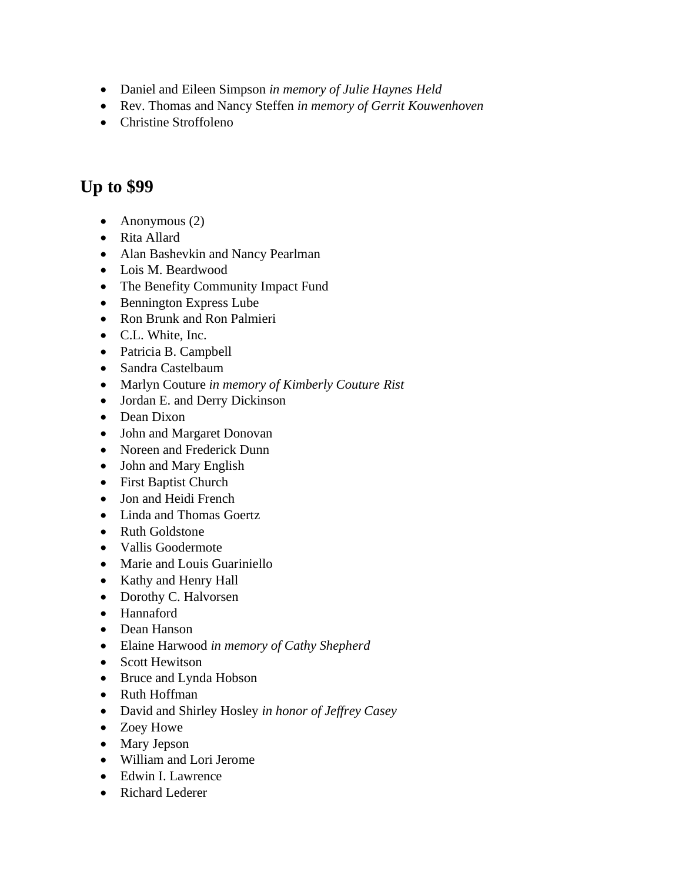- Daniel and Eileen Simpson *in memory of Julie Haynes Held*
- Rev. Thomas and Nancy Steffen *in memory of Gerrit Kouwenhoven*
- Christine Stroffoleno

## **Up to \$99**

- Anonymous  $(2)$
- Rita Allard
- Alan Bashevkin and Nancy Pearlman
- Lois M. Beardwood
- The Benefity Community Impact Fund
- Bennington Express Lube
- Ron Brunk and Ron Palmieri
- C.L. White, Inc.
- Patricia B. Campbell
- Sandra Castelbaum
- Marlyn Couture *in memory of Kimberly Couture Rist*
- Jordan E. and Derry Dickinson
- Dean Dixon
- John and Margaret Donovan
- Noreen and Frederick Dunn
- John and Mary English
- First Baptist Church
- Jon and Heidi French
- Linda and Thomas Goertz
- Ruth Goldstone
- Vallis Goodermote
- Marie and Louis Guariniello
- Kathy and Henry Hall
- Dorothy C. Halvorsen
- Hannaford
- Dean Hanson
- Elaine Harwood *in memory of Cathy Shepherd*
- Scott Hewitson
- Bruce and Lynda Hobson
- Ruth Hoffman
- David and Shirley Hosley *in honor of Jeffrey Casey*
- Zoey Howe
- Mary Jepson
- William and Lori Jerome
- Edwin I. Lawrence
- Richard Lederer